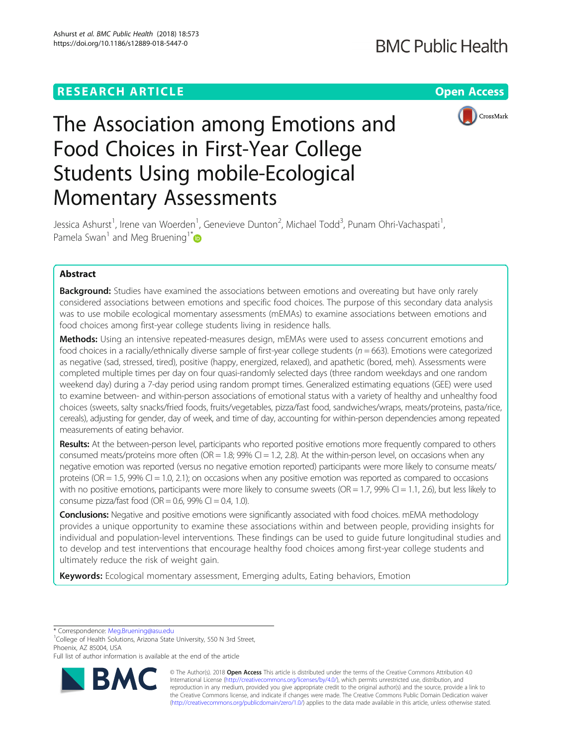# **RESEARCH ARTICLE Example 2014 12:30 The Contract of Contract ACCESS**



# The Association among Emotions and Food Choices in First-Year College Students Using mobile-Ecological Momentary Assessments

Jessica Ashurst<sup>1</sup>, Irene van Woerden<sup>1</sup>, Genevieve Dunton<sup>2</sup>, Michael Todd<sup>3</sup>, Punam Ohri-Vachaspati<sup>1</sup> , Pamela Swan<sup>1</sup> and Meg Bruening<sup>1\*</sup>

# Abstract

**Background:** Studies have examined the associations between emotions and overeating but have only rarely considered associations between emotions and specific food choices. The purpose of this secondary data analysis was to use mobile ecological momentary assessments (mEMAs) to examine associations between emotions and food choices among first-year college students living in residence halls.

Methods: Using an intensive repeated-measures design, mEMAs were used to assess concurrent emotions and food choices in a racially/ethnically diverse sample of first-year college students ( $n = 663$ ). Emotions were categorized as negative (sad, stressed, tired), positive (happy, energized, relaxed), and apathetic (bored, meh). Assessments were completed multiple times per day on four quasi-randomly selected days (three random weekdays and one random weekend day) during a 7-day period using random prompt times. Generalized estimating equations (GEE) were used to examine between- and within-person associations of emotional status with a variety of healthy and unhealthy food choices (sweets, salty snacks/fried foods, fruits/vegetables, pizza/fast food, sandwiches/wraps, meats/proteins, pasta/rice, cereals), adjusting for gender, day of week, and time of day, accounting for within-person dependencies among repeated measurements of eating behavior.

Results: At the between-person level, participants who reported positive emotions more frequently compared to others consumed meats/proteins more often (OR = 1.8; 99% CI = 1.2, 2.8). At the within-person level, on occasions when any negative emotion was reported (versus no negative emotion reported) participants were more likely to consume meats/ proteins (OR = 1.5, 99% CI = 1.0, 2.1); on occasions when any positive emotion was reported as compared to occasions with no positive emotions, participants were more likely to consume sweets (OR = 1.7, 99% CI = 1.1, 2.6), but less likely to consume pizza/fast food (OR = 0.6, 99% CI = 0.4, 1.0).

**Conclusions:** Negative and positive emotions were significantly associated with food choices. mEMA methodology provides a unique opportunity to examine these associations within and between people, providing insights for individual and population-level interventions. These findings can be used to guide future longitudinal studies and to develop and test interventions that encourage healthy food choices among first-year college students and ultimately reduce the risk of weight gain.

Keywords: Ecological momentary assessment, Emerging adults, Eating behaviors, Emotion

\* Correspondence: [Meg.Bruening@asu.edu](mailto:Meg.Bruening@asu.edu) <sup>1</sup>

<sup>1</sup>College of Health Solutions, Arizona State University, 550 N 3rd Street, Phoenix, AZ 85004, USA

Full list of author information is available at the end of the article



© The Author(s). 2018 Open Access This article is distributed under the terms of the Creative Commons Attribution 4.0 International License [\(http://creativecommons.org/licenses/by/4.0/](http://creativecommons.org/licenses/by/4.0/)), which permits unrestricted use, distribution, and reproduction in any medium, provided you give appropriate credit to the original author(s) and the source, provide a link to the Creative Commons license, and indicate if changes were made. The Creative Commons Public Domain Dedication waiver [\(http://creativecommons.org/publicdomain/zero/1.0/](http://creativecommons.org/publicdomain/zero/1.0/)) applies to the data made available in this article, unless otherwise stated.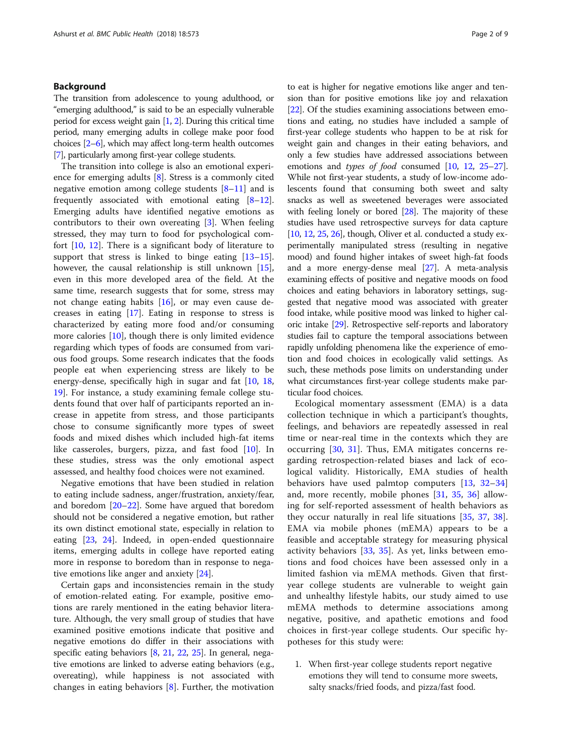# Background

The transition from adolescence to young adulthood, or "emerging adulthood," is said to be an especially vulnerable period for excess weight gain [\[1](#page-8-0), [2](#page-8-0)]. During this critical time period, many emerging adults in college make poor food choices [\[2](#page-8-0)–[6](#page-8-0)], which may affect long-term health outcomes [[7](#page-8-0)], particularly among first-year college students.

The transition into college is also an emotional experience for emerging adults [\[8\]](#page-8-0). Stress is a commonly cited negative emotion among college students  $[8-11]$  $[8-11]$  $[8-11]$  $[8-11]$  and is frequently associated with emotional eating  $[8-12]$  $[8-12]$  $[8-12]$  $[8-12]$  $[8-12]$ . Emerging adults have identified negative emotions as contributors to their own overeating [[3](#page-8-0)]. When feeling stressed, they may turn to food for psychological comfort [[10](#page-8-0), [12](#page-8-0)]. There is a significant body of literature to support that stress is linked to binge eating [[13](#page-8-0)–[15](#page-8-0)]. however, the causal relationship is still unknown [\[15](#page-8-0)], even in this more developed area of the field. At the same time, research suggests that for some, stress may not change eating habits  $[16]$  $[16]$ , or may even cause decreases in eating [\[17\]](#page-8-0). Eating in response to stress is characterized by eating more food and/or consuming more calories [[10](#page-8-0)], though there is only limited evidence regarding which types of foods are consumed from various food groups. Some research indicates that the foods people eat when experiencing stress are likely to be energy-dense, specifically high in sugar and fat [\[10](#page-8-0), [18](#page-8-0), [19\]](#page-8-0). For instance, a study examining female college students found that over half of participants reported an increase in appetite from stress, and those participants chose to consume significantly more types of sweet foods and mixed dishes which included high-fat items like casseroles, burgers, pizza, and fast food [[10\]](#page-8-0). In these studies, stress was the only emotional aspect assessed, and healthy food choices were not examined.

Negative emotions that have been studied in relation to eating include sadness, anger/frustration, anxiety/fear, and boredom [\[20](#page-8-0)–[22\]](#page-8-0). Some have argued that boredom should not be considered a negative emotion, but rather its own distinct emotional state, especially in relation to eating [[23,](#page-8-0) [24\]](#page-8-0). Indeed, in open-ended questionnaire items, emerging adults in college have reported eating more in response to boredom than in response to negative emotions like anger and anxiety [\[24\]](#page-8-0).

Certain gaps and inconsistencies remain in the study of emotion-related eating. For example, positive emotions are rarely mentioned in the eating behavior literature. Although, the very small group of studies that have examined positive emotions indicate that positive and negative emotions do differ in their associations with specific eating behaviors [\[8](#page-8-0), [21](#page-8-0), [22,](#page-8-0) [25\]](#page-8-0). In general, negative emotions are linked to adverse eating behaviors (e.g., overeating), while happiness is not associated with changes in eating behaviors  $[8]$  $[8]$  $[8]$ . Further, the motivation to eat is higher for negative emotions like anger and tension than for positive emotions like joy and relaxation [[22](#page-8-0)]. Of the studies examining associations between emotions and eating, no studies have included a sample of first-year college students who happen to be at risk for weight gain and changes in their eating behaviors, and only a few studies have addressed associations between emotions and *types of food* consumed [[10](#page-8-0), [12](#page-8-0), [25](#page-8-0)–[27](#page-8-0)]. While not first-year students, a study of low-income adolescents found that consuming both sweet and salty snacks as well as sweetened beverages were associated with feeling lonely or bored [[28](#page-8-0)]. The majority of these studies have used retrospective surveys for data capture [[10](#page-8-0), [12,](#page-8-0) [25](#page-8-0), [26](#page-8-0)], though, Oliver et al. conducted a study experimentally manipulated stress (resulting in negative mood) and found higher intakes of sweet high-fat foods and a more energy-dense meal [[27](#page-8-0)]. A meta-analysis examining effects of positive and negative moods on food choices and eating behaviors in laboratory settings, suggested that negative mood was associated with greater food intake, while positive mood was linked to higher caloric intake [[29](#page-8-0)]. Retrospective self-reports and laboratory studies fail to capture the temporal associations between rapidly unfolding phenomena like the experience of emotion and food choices in ecologically valid settings. As such, these methods pose limits on understanding under what circumstances first-year college students make particular food choices.

Ecological momentary assessment (EMA) is a data collection technique in which a participant's thoughts, feelings, and behaviors are repeatedly assessed in real time or near-real time in the contexts which they are occurring [\[30](#page-8-0), [31\]](#page-8-0). Thus, EMA mitigates concerns regarding retrospection-related biases and lack of ecological validity. Historically, EMA studies of health behaviors have used palmtop computers [[13,](#page-8-0) [32](#page-8-0)–[34](#page-8-0)] and, more recently, mobile phones [\[31](#page-8-0), [35,](#page-8-0) [36\]](#page-8-0) allowing for self-reported assessment of health behaviors as they occur naturally in real life situations [[35,](#page-8-0) [37,](#page-8-0) [38](#page-8-0)]. EMA via mobile phones (mEMA) appears to be a feasible and acceptable strategy for measuring physical activity behaviors [\[33](#page-8-0), [35\]](#page-8-0). As yet, links between emotions and food choices have been assessed only in a limited fashion via mEMA methods. Given that firstyear college students are vulnerable to weight gain and unhealthy lifestyle habits, our study aimed to use mEMA methods to determine associations among negative, positive, and apathetic emotions and food choices in first-year college students. Our specific hypotheses for this study were:

1. When first-year college students report negative emotions they will tend to consume more sweets, salty snacks/fried foods, and pizza/fast food.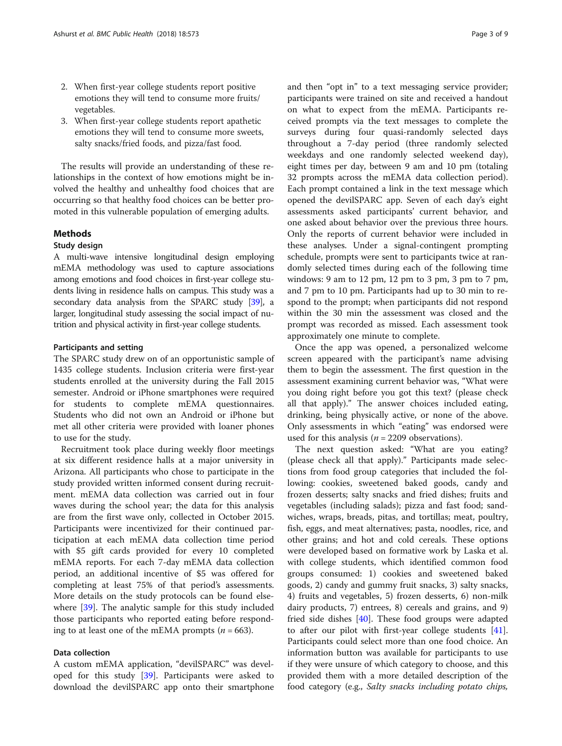- 2. When first-year college students report positive emotions they will tend to consume more fruits/ vegetables.
- 3. When first-year college students report apathetic emotions they will tend to consume more sweets, salty snacks/fried foods, and pizza/fast food.

The results will provide an understanding of these relationships in the context of how emotions might be involved the healthy and unhealthy food choices that are occurring so that healthy food choices can be better promoted in this vulnerable population of emerging adults.

# Methods

#### Study design

A multi-wave intensive longitudinal design employing mEMA methodology was used to capture associations among emotions and food choices in first-year college students living in residence halls on campus. This study was a secondary data analysis from the SPARC study [\[39\]](#page-8-0), a larger, longitudinal study assessing the social impact of nutrition and physical activity in first-year college students.

### Participants and setting

The SPARC study drew on of an opportunistic sample of 1435 college students. Inclusion criteria were first-year students enrolled at the university during the Fall 2015 semester. Android or iPhone smartphones were required for students to complete mEMA questionnaires. Students who did not own an Android or iPhone but met all other criteria were provided with loaner phones to use for the study.

Recruitment took place during weekly floor meetings at six different residence halls at a major university in Arizona. All participants who chose to participate in the study provided written informed consent during recruitment. mEMA data collection was carried out in four waves during the school year; the data for this analysis are from the first wave only, collected in October 2015. Participants were incentivized for their continued participation at each mEMA data collection time period with \$5 gift cards provided for every 10 completed mEMA reports. For each 7-day mEMA data collection period, an additional incentive of \$5 was offered for completing at least 75% of that period's assessments. More details on the study protocols can be found elsewhere [\[39](#page-8-0)]. The analytic sample for this study included those participants who reported eating before responding to at least one of the mEMA prompts ( $n = 663$ ).

# Data collection

A custom mEMA application, "devilSPARC" was developed for this study [\[39](#page-8-0)]. Participants were asked to download the devilSPARC app onto their smartphone

and then "opt in" to a text messaging service provider; participants were trained on site and received a handout on what to expect from the mEMA. Participants received prompts via the text messages to complete the surveys during four quasi-randomly selected days throughout a 7-day period (three randomly selected weekdays and one randomly selected weekend day), eight times per day, between 9 am and 10 pm (totaling 32 prompts across the mEMA data collection period). Each prompt contained a link in the text message which opened the devilSPARC app. Seven of each day's eight assessments asked participants' current behavior, and one asked about behavior over the previous three hours. Only the reports of current behavior were included in these analyses. Under a signal-contingent prompting schedule, prompts were sent to participants twice at randomly selected times during each of the following time windows: 9 am to 12 pm, 12 pm to 3 pm, 3 pm to 7 pm, and 7 pm to 10 pm. Participants had up to 30 min to respond to the prompt; when participants did not respond within the 30 min the assessment was closed and the prompt was recorded as missed. Each assessment took approximately one minute to complete.

Once the app was opened, a personalized welcome screen appeared with the participant's name advising them to begin the assessment. The first question in the assessment examining current behavior was, "What were you doing right before you got this text? (please check all that apply)." The answer choices included eating, drinking, being physically active, or none of the above. Only assessments in which "eating" was endorsed were used for this analysis ( $n = 2209$  observations).

The next question asked: "What are you eating? (please check all that apply)." Participants made selections from food group categories that included the following: cookies, sweetened baked goods, candy and frozen desserts; salty snacks and fried dishes; fruits and vegetables (including salads); pizza and fast food; sandwiches, wraps, breads, pitas, and tortillas; meat, poultry, fish, eggs, and meat alternatives; pasta, noodles, rice, and other grains; and hot and cold cereals. These options were developed based on formative work by Laska et al. with college students, which identified common food groups consumed: 1) cookies and sweetened baked goods, 2) candy and gummy fruit snacks, 3) salty snacks, 4) fruits and vegetables, 5) frozen desserts, 6) non-milk dairy products, 7) entrees, 8) cereals and grains, and 9) fried side dishes [\[40](#page-8-0)]. These food groups were adapted to after our pilot with first-year college students [\[41](#page-8-0)]. Participants could select more than one food choice. An information button was available for participants to use if they were unsure of which category to choose, and this provided them with a more detailed description of the food category (e.g., Salty snacks including potato chips,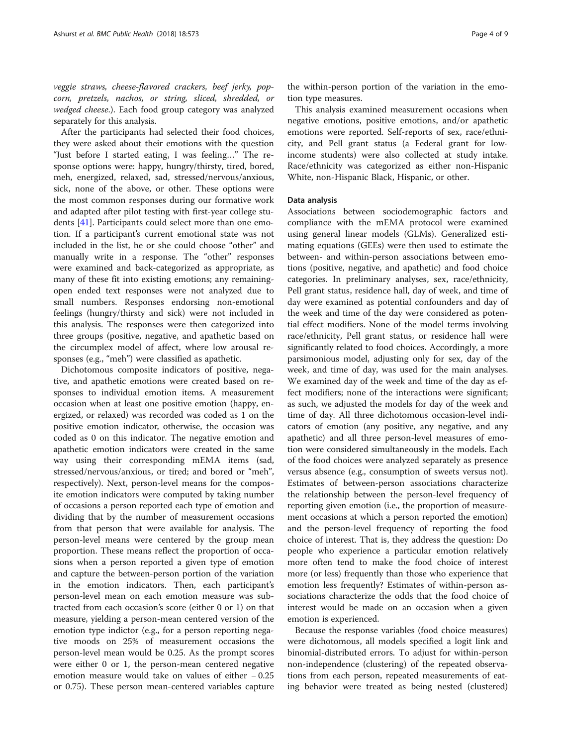veggie straws, cheese-flavored crackers, beef jerky, popcorn, pretzels, nachos, or string, sliced, shredded, or wedged cheese.). Each food group category was analyzed separately for this analysis.

After the participants had selected their food choices, they were asked about their emotions with the question "Just before I started eating, I was feeling…" The response options were: happy, hungry/thirsty, tired, bored, meh, energized, relaxed, sad, stressed/nervous/anxious, sick, none of the above, or other. These options were the most common responses during our formative work and adapted after pilot testing with first-year college students [[41\]](#page-8-0). Participants could select more than one emotion. If a participant's current emotional state was not included in the list, he or she could choose "other" and manually write in a response. The "other" responses were examined and back-categorized as appropriate, as many of these fit into existing emotions; any remainingopen ended text responses were not analyzed due to small numbers. Responses endorsing non-emotional feelings (hungry/thirsty and sick) were not included in this analysis. The responses were then categorized into three groups (positive, negative, and apathetic based on the circumplex model of affect, where low arousal responses (e.g., "meh") were classified as apathetic.

Dichotomous composite indicators of positive, negative, and apathetic emotions were created based on responses to individual emotion items. A measurement occasion when at least one positive emotion (happy, energized, or relaxed) was recorded was coded as 1 on the positive emotion indicator, otherwise, the occasion was coded as 0 on this indicator. The negative emotion and apathetic emotion indicators were created in the same way using their corresponding mEMA items (sad, stressed/nervous/anxious, or tired; and bored or "meh", respectively). Next, person-level means for the composite emotion indicators were computed by taking number of occasions a person reported each type of emotion and dividing that by the number of measurement occasions from that person that were available for analysis. The person-level means were centered by the group mean proportion. These means reflect the proportion of occasions when a person reported a given type of emotion and capture the between-person portion of the variation in the emotion indicators. Then, each participant's person-level mean on each emotion measure was subtracted from each occasion's score (either 0 or 1) on that measure, yielding a person-mean centered version of the emotion type indictor (e.g., for a person reporting negative moods on 25% of measurement occasions the person-level mean would be 0.25. As the prompt scores were either 0 or 1, the person-mean centered negative emotion measure would take on values of either − 0.25 or 0.75). These person mean-centered variables capture

the within-person portion of the variation in the emotion type measures.

This analysis examined measurement occasions when negative emotions, positive emotions, and/or apathetic emotions were reported. Self-reports of sex, race/ethnicity, and Pell grant status (a Federal grant for lowincome students) were also collected at study intake. Race/ethnicity was categorized as either non-Hispanic White, non-Hispanic Black, Hispanic, or other.

# Data analysis

Associations between sociodemographic factors and compliance with the mEMA protocol were examined using general linear models (GLMs). Generalized estimating equations (GEEs) were then used to estimate the between- and within-person associations between emotions (positive, negative, and apathetic) and food choice categories. In preliminary analyses, sex, race/ethnicity, Pell grant status, residence hall, day of week, and time of day were examined as potential confounders and day of the week and time of the day were considered as potential effect modifiers. None of the model terms involving race/ethnicity, Pell grant status, or residence hall were significantly related to food choices. Accordingly, a more parsimonious model, adjusting only for sex, day of the week, and time of day, was used for the main analyses. We examined day of the week and time of the day as effect modifiers; none of the interactions were significant; as such, we adjusted the models for day of the week and time of day. All three dichotomous occasion-level indicators of emotion (any positive, any negative, and any apathetic) and all three person-level measures of emotion were considered simultaneously in the models. Each of the food choices were analyzed separately as presence versus absence (e.g., consumption of sweets versus not). Estimates of between-person associations characterize the relationship between the person-level frequency of reporting given emotion (i.e., the proportion of measurement occasions at which a person reported the emotion) and the person-level frequency of reporting the food choice of interest. That is, they address the question: Do people who experience a particular emotion relatively more often tend to make the food choice of interest more (or less) frequently than those who experience that emotion less frequently? Estimates of within-person associations characterize the odds that the food choice of interest would be made on an occasion when a given emotion is experienced.

Because the response variables (food choice measures) were dichotomous, all models specified a logit link and binomial-distributed errors. To adjust for within-person non-independence (clustering) of the repeated observations from each person, repeated measurements of eating behavior were treated as being nested (clustered)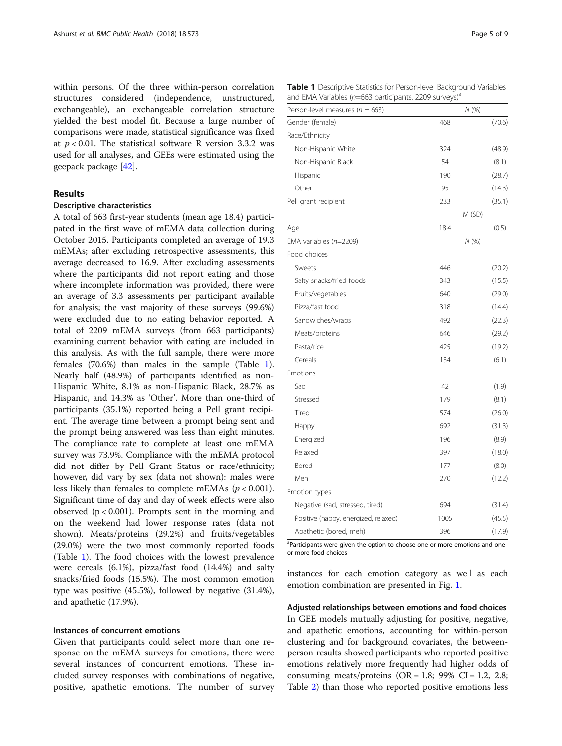within persons. Of the three within-person correlation structures considered (independence, unstructured, exchangeable), an exchangeable correlation structure yielded the best model fit. Because a large number of comparisons were made, statistical significance was fixed at  $p < 0.01$ . The statistical software R version 3.3.2 was used for all analyses, and GEEs were estimated using the geepack package [[42](#page-8-0)].

# Results

#### Descriptive characteristics

A total of 663 first-year students (mean age 18.4) participated in the first wave of mEMA data collection during October 2015. Participants completed an average of 19.3 mEMAs; after excluding retrospective assessments, this average decreased to 16.9. After excluding assessments where the participants did not report eating and those where incomplete information was provided, there were an average of 3.3 assessments per participant available for analysis; the vast majority of these surveys (99.6%) were excluded due to no eating behavior reported. A total of 2209 mEMA surveys (from 663 participants) examining current behavior with eating are included in this analysis. As with the full sample, there were more females (70.6%) than males in the sample (Table 1). Nearly half (48.9%) of participants identified as non-Hispanic White, 8.1% as non-Hispanic Black, 28.7% as Hispanic, and 14.3% as 'Other'. More than one-third of participants (35.1%) reported being a Pell grant recipient. The average time between a prompt being sent and the prompt being answered was less than eight minutes. The compliance rate to complete at least one mEMA survey was 73.9%. Compliance with the mEMA protocol did not differ by Pell Grant Status or race/ethnicity; however, did vary by sex (data not shown): males were less likely than females to complete mEMAs ( $p < 0.001$ ). Significant time of day and day of week effects were also observed  $(p < 0.001)$ . Prompts sent in the morning and on the weekend had lower response rates (data not shown). Meats/proteins (29.2%) and fruits/vegetables (29.0%) were the two most commonly reported foods (Table 1). The food choices with the lowest prevalence were cereals (6.1%), pizza/fast food (14.4%) and salty snacks/fried foods (15.5%). The most common emotion type was positive (45.5%), followed by negative (31.4%), and apathetic (17.9%).

#### Instances of concurrent emotions

Given that participants could select more than one response on the mEMA surveys for emotions, there were several instances of concurrent emotions. These included survey responses with combinations of negative, positive, apathetic emotions. The number of survey

| <b>Table 1</b> Descriptive Statistics for Person-level Background Variables |  |
|-----------------------------------------------------------------------------|--|
| and EMA Variables (n=663 participants, 2209 surveys) <sup>a</sup>           |  |

| Person-level measures ( $n = 663$ )  |      | N(%)   |
|--------------------------------------|------|--------|
| Gender (female)                      | 468  | (70.6) |
| Race/Ethnicity                       |      |        |
| Non-Hispanic White                   | 324  | (48.9) |
| Non-Hispanic Black                   | 54   | (8.1)  |
| Hispanic                             | 190  | (28.7) |
| Other                                | 95   | (14.3) |
| Pell grant recipient                 | 233  | (35.1) |
|                                      |      | M (SD) |
| Age                                  | 18.4 | (0.5)  |
| EMA variables $(n=2209)$             |      | N(%    |
| Food choices                         |      |        |
| Sweets                               | 446  | (20.2) |
| Salty snacks/fried foods             | 343  | (15.5) |
| Fruits/vegetables                    | 640  | (29.0) |
| Pizza/fast food                      | 318  | (14.4) |
| Sandwiches/wraps                     | 492  | (22.3) |
| Meats/proteins                       | 646  | (29.2) |
| Pasta/rice                           | 425  | (19.2) |
| Cereals                              | 134  | (6.1)  |
| Emotions                             |      |        |
| Sad                                  | 42   | (1.9)  |
| Stressed                             | 179  | (8.1)  |
| Tired                                | 574  | (26.0) |
| Happy                                | 692  | (31.3) |
| Energized                            | 196  | (8.9)  |
| Relaxed                              | 397  | (18.0) |
| Bored                                | 177  | (8.0)  |
| Meh                                  | 270  | (12.2) |
| Emotion types                        |      |        |
| Negative (sad, stressed, tired)      | 694  | (31.4) |
| Positive (happy, energized, relaxed) | 1005 | (45.5) |
| Apathetic (bored, meh)               | 396  | (17.9) |

<sup>a</sup>Participants were given the option to choose one or more emotions and one or more food choices

instances for each emotion category as well as each emotion combination are presented in Fig. [1](#page-5-0).

Adjusted relationships between emotions and food choices In GEE models mutually adjusting for positive, negative, and apathetic emotions, accounting for within-person clustering and for background covariates, the betweenperson results showed participants who reported positive emotions relatively more frequently had higher odds of consuming meats/proteins  $(OR = 1.8; 99\% \text{ CI} = 1.2, 2.8;$ Table [2](#page-6-0)) than those who reported positive emotions less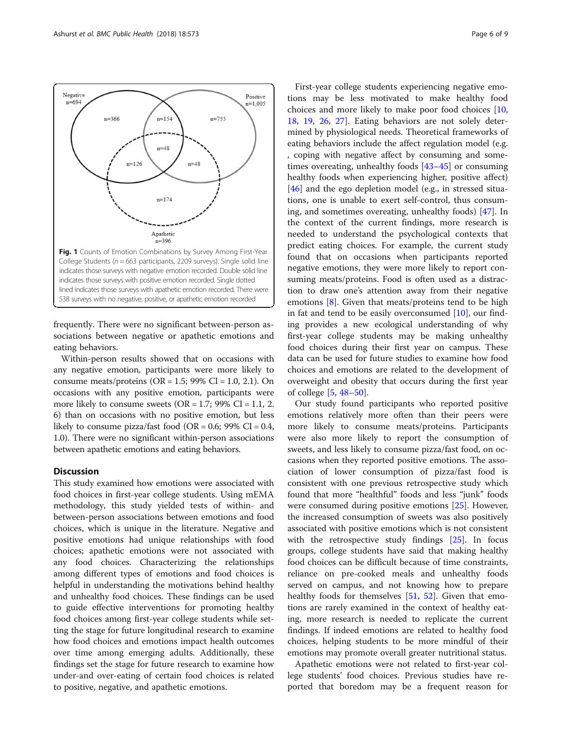frequently. There were no significant between-person associations between negative or apathetic emotions and eating behaviors.

Within-person results showed that on occasions with any negative emotion, participants were more likely to consume meats/proteins  $(OR = 1.5; 99\% CI = 1.0, 2.1)$ . On occasions with any positive emotion, participants were more likely to consume sweets ( $OR = 1.7$ ; 99%  $CI = 1.1$ , 2. 6) than on occasions with no positive emotion, but less likely to consume pizza/fast food (OR =  $0.6$ ; 99% CI =  $0.4$ , 1.0). There were no significant within-person associations between apathetic emotions and eating behaviors.

# **Discussion**

This study examined how emotions were associated with food choices in first-year college students. Using mEMA methodology, this study yielded tests of within- and between-person associations between emotions and food choices, which is unique in the literature. Negative and positive emotions had unique relationships with food choices; apathetic emotions were not associated with any food choices. Characterizing the relationships among different types of emotions and food choices is helpful in understanding the motivations behind healthy and unhealthy food choices. These findings can be used to guide effective interventions for promoting healthy food choices among first-year college students while setting the stage for future longitudinal research to examine how food choices and emotions impact health outcomes over time among emerging adults. Additionally, these findings set the stage for future research to examine how under-and over-eating of certain food choices is related to positive, negative, and apathetic emotions.

First-year college students experiencing negative emotions may be less motivated to make healthy food choices and more likely to make poor food choices [[10](#page-8-0), [18,](#page-8-0) [19](#page-8-0), [26](#page-8-0), [27](#page-8-0)]. Eating behaviors are not solely determined by physiological needs. Theoretical frameworks of eating behaviors include the affect regulation model (e.g. , coping with negative affect by consuming and sometimes overeating, unhealthy foods [[43](#page-8-0)–[45](#page-8-0)] or consuming healthy foods when experiencing higher, positive affect) [[46\]](#page-8-0) and the ego depletion model (e.g., in stressed situations, one is unable to exert self-control, thus consuming, and sometimes overeating, unhealthy foods) [\[47](#page-8-0)]. In the context of the current findings, more research is needed to understand the psychological contexts that predict eating choices. For example, the current study found that on occasions when participants reported negative emotions, they were more likely to report consuming meats/proteins. Food is often used as a distraction to draw one's attention away from their negative emotions [\[8](#page-8-0)]. Given that meats/proteins tend to be high in fat and tend to be easily overconsumed [[10](#page-8-0)], our finding provides a new ecological understanding of why first-year college students may be making unhealthy food choices during their first year on campus. These data can be used for future studies to examine how food choices and emotions are related to the development of overweight and obesity that occurs during the first year of college [[5,](#page-8-0) [48](#page-8-0)–[50](#page-8-0)].

Our study found participants who reported positive emotions relatively more often than their peers were more likely to consume meats/proteins. Participants were also more likely to report the consumption of sweets, and less likely to consume pizza/fast food, on occasions when they reported positive emotions. The association of lower consumption of pizza/fast food is consistent with one previous retrospective study which found that more "healthful" foods and less "junk" foods were consumed during positive emotions [\[25\]](#page-8-0). However, the increased consumption of sweets was also positively associated with positive emotions which is not consistent with the retrospective study findings [[25](#page-8-0)]. In focus groups, college students have said that making healthy food choices can be difficult because of time constraints, reliance on pre-cooked meals and unhealthy foods served on campus, and not knowing how to prepare healthy foods for themselves [[51,](#page-8-0) [52\]](#page-8-0). Given that emotions are rarely examined in the context of healthy eating, more research is needed to replicate the current findings. If indeed emotions are related to healthy food choices, helping students to be more mindful of their emotions may promote overall greater nutritional status.

Apathetic emotions were not related to first-year college students' food choices. Previous studies have reported that boredom may be a frequent reason for

<span id="page-5-0"></span>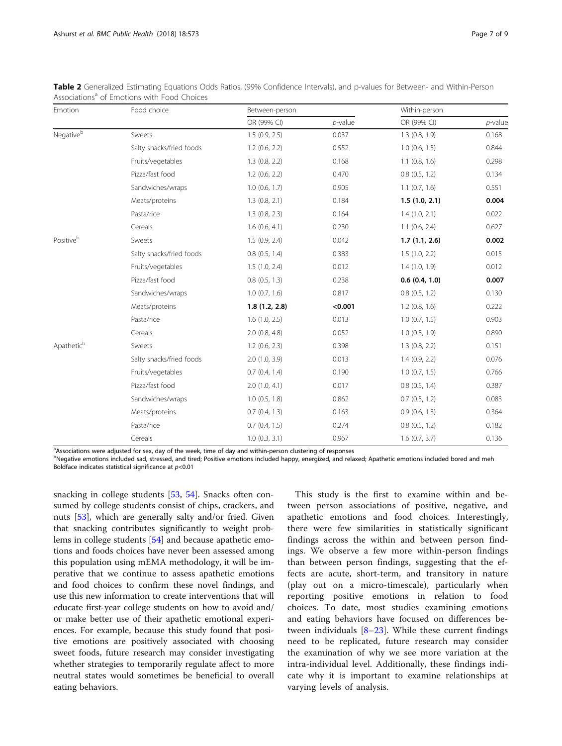| Emotion                          | Food choice              | Between-person     |            | Within-person      |            |
|----------------------------------|--------------------------|--------------------|------------|--------------------|------------|
|                                  |                          | OR (99% CI)        | $p$ -value | OR (99% CI)        | $p$ -value |
| $\mathsf{Negative}^{\mathsf{b}}$ | Sweets                   | 1.5(0.9, 2.5)      | 0.037      | 1.3(0.8, 1.9)      | 0.168      |
|                                  | Salty snacks/fried foods | $1.2$ (0.6, 2.2)   | 0.552      | $1.0$ (0.6, 1.5)   | 0.844      |
|                                  | Fruits/vegetables        | $1.3$ (0.8, 2.2)   | 0.168      | $1.1$ (0.8, 1.6)   | 0.298      |
|                                  | Pizza/fast food          | $1.2$ (0.6, 2.2)   | 0.470      | $0.8$ $(0.5, 1.2)$ | 0.134      |
|                                  | Sandwiches/wraps         | $1.0$ (0.6, 1.7)   | 0.905      | $1.1$ (0.7, 1.6)   | 0.551      |
|                                  | Meats/proteins           | 1.3(0.8, 2.1)      | 0.184      | 1.5(1.0, 2.1)      | 0.004      |
|                                  | Pasta/rice               | $1.3$ (0.8, 2.3)   | 0.164      | 1.4(1.0, 2.1)      | 0.022      |
|                                  | Cereals                  | $1.6$ (0.6, 4.1)   | 0.230      | $1.1$ (0.6, 2.4)   | 0.627      |
| Positiveb                        | Sweets                   | 1.5(0.9, 2.4)      | 0.042      | 1.7(1.1, 2.6)      | 0.002      |
|                                  | Salty snacks/fried foods | $0.8$ $(0.5, 1.4)$ | 0.383      | 1.5(1.0, 2.2)      | 0.015      |
|                                  | Fruits/vegetables        | 1.5(1.0, 2.4)      | 0.012      | 1.4(1.0, 1.9)      | 0.012      |
|                                  | Pizza/fast food          | $0.8$ $(0.5, 1.3)$ | 0.238      | 0.6(0.4, 1.0)      | 0.007      |
|                                  | Sandwiches/wraps         | $1.0$ (0.7, 1.6)   | 0.817      | $0.8$ $(0.5, 1.2)$ | 0.130      |
|                                  | Meats/proteins           | 1.8(1.2, 2.8)      | < 0.001    | $1.2$ (0.8, 1.6)   | 0.222      |
|                                  | Pasta/rice               | 1.6(1.0, 2.5)      | 0.013      | $1.0$ (0.7, 1.5)   | 0.903      |
|                                  | Cereals                  | $2.0$ (0.8, 4.8)   | 0.052      | $1.0$ (0.5, 1.9)   | 0.890      |
| Apathetic <sup>b</sup>           | Sweets                   | $1.2$ (0.6, 2.3)   | 0.398      | $1.3$ (0.8, 2.2)   | 0.151      |
|                                  | Salty snacks/fried foods | $2.0$ (1.0, 3.9)   | 0.013      | 1.4(0.9, 2.2)      | 0.076      |
|                                  | Fruits/vegetables        | $0.7$ $(0.4, 1.4)$ | 0.190      | $1.0$ (0.7, 1.5)   | 0.766      |
|                                  | Pizza/fast food          | 2.0(1.0, 4.1)      | 0.017      | $0.8$ $(0.5, 1.4)$ | 0.387      |
|                                  | Sandwiches/wraps         | $1.0$ (0.5, 1.8)   | 0.862      | $0.7$ $(0.5, 1.2)$ | 0.083      |
|                                  | Meats/proteins           | $0.7$ $(0.4, 1.3)$ | 0.163      | 0.9(0.6, 1.3)      | 0.364      |
|                                  | Pasta/rice               | $0.7$ $(0.4, 1.5)$ | 0.274      | $0.8$ $(0.5, 1.2)$ | 0.182      |
|                                  | Cereals                  | $1.0$ (0.3, 3.1)   | 0.967      | 1.6(0.7, 3.7)      | 0.136      |

<span id="page-6-0"></span>Table 2 Generalized Estimating Equations Odds Ratios, (99% Confidence Intervals), and p-values for Between- and Within-Person Associations<sup>a</sup> of Emotions with Food Choices

<sup>a</sup>Associations were adjusted for sex, day of the week, time of day and within-person clustering of responses

b<br>Negative emotions included sad, stressed, and tired; Positive emotions included happy, energized, and relaxed; Apathetic emotions included bored and meh Boldface indicates statistical significance at  $p<0.01$ 

snacking in college students [[53,](#page-8-0) [54](#page-8-0)]. Snacks often consumed by college students consist of chips, crackers, and nuts [[53\]](#page-8-0), which are generally salty and/or fried. Given that snacking contributes significantly to weight problems in college students [[54\]](#page-8-0) and because apathetic emotions and foods choices have never been assessed among this population using mEMA methodology, it will be imperative that we continue to assess apathetic emotions and food choices to confirm these novel findings, and use this new information to create interventions that will educate first-year college students on how to avoid and/ or make better use of their apathetic emotional experiences. For example, because this study found that positive emotions are positively associated with choosing sweet foods, future research may consider investigating whether strategies to temporarily regulate affect to more neutral states would sometimes be beneficial to overall eating behaviors.

This study is the first to examine within and between person associations of positive, negative, and apathetic emotions and food choices. Interestingly, there were few similarities in statistically significant findings across the within and between person findings. We observe a few more within-person findings than between person findings, suggesting that the effects are acute, short-term, and transitory in nature (play out on a micro-timescale), particularly when reporting positive emotions in relation to food choices. To date, most studies examining emotions and eating behaviors have focused on differences between individuals  $[8-23]$  $[8-23]$  $[8-23]$  $[8-23]$ . While these current findings need to be replicated, future research may consider the examination of why we see more variation at the intra-individual level. Additionally, these findings indicate why it is important to examine relationships at varying levels of analysis.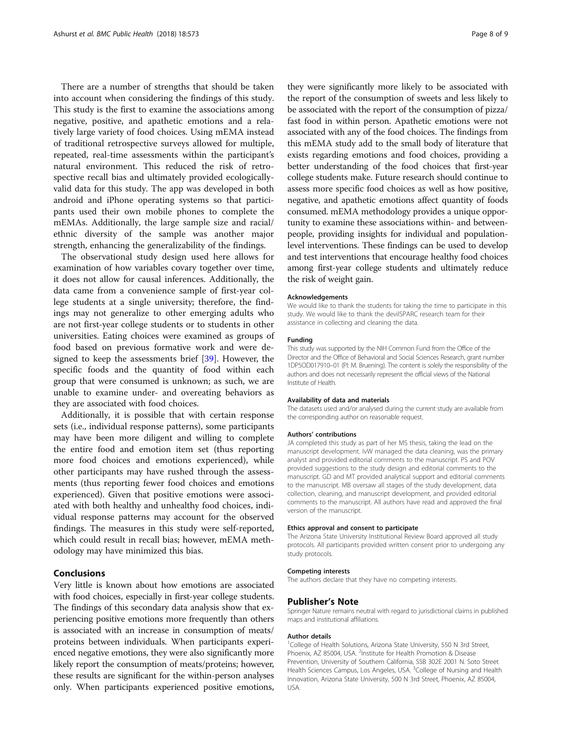There are a number of strengths that should be taken into account when considering the findings of this study. This study is the first to examine the associations among negative, positive, and apathetic emotions and a relatively large variety of food choices. Using mEMA instead of traditional retrospective surveys allowed for multiple, repeated, real-time assessments within the participant's natural environment. This reduced the risk of retrospective recall bias and ultimately provided ecologicallyvalid data for this study. The app was developed in both android and iPhone operating systems so that participants used their own mobile phones to complete the mEMAs. Additionally, the large sample size and racial/ ethnic diversity of the sample was another major strength, enhancing the generalizability of the findings.

The observational study design used here allows for examination of how variables covary together over time, it does not allow for causal inferences. Additionally, the data came from a convenience sample of first-year college students at a single university; therefore, the findings may not generalize to other emerging adults who are not first-year college students or to students in other universities. Eating choices were examined as groups of food based on previous formative work and were designed to keep the assessments brief [[39\]](#page-8-0). However, the specific foods and the quantity of food within each group that were consumed is unknown; as such, we are unable to examine under- and overeating behaviors as they are associated with food choices.

Additionally, it is possible that with certain response sets (i.e., individual response patterns), some participants may have been more diligent and willing to complete the entire food and emotion item set (thus reporting more food choices and emotions experienced), while other participants may have rushed through the assessments (thus reporting fewer food choices and emotions experienced). Given that positive emotions were associated with both healthy and unhealthy food choices, individual response patterns may account for the observed findings. The measures in this study were self-reported, which could result in recall bias; however, mEMA methodology may have minimized this bias.

#### Conclusions

Very little is known about how emotions are associated with food choices, especially in first-year college students. The findings of this secondary data analysis show that experiencing positive emotions more frequently than others is associated with an increase in consumption of meats/ proteins between individuals. When participants experienced negative emotions, they were also significantly more likely report the consumption of meats/proteins; however, these results are significant for the within-person analyses only. When participants experienced positive emotions,

they were significantly more likely to be associated with the report of the consumption of sweets and less likely to be associated with the report of the consumption of pizza/ fast food in within person. Apathetic emotions were not associated with any of the food choices. The findings from this mEMA study add to the small body of literature that exists regarding emotions and food choices, providing a better understanding of the food choices that first-year college students make. Future research should continue to assess more specific food choices as well as how positive, negative, and apathetic emotions affect quantity of foods consumed. mEMA methodology provides a unique opportunity to examine these associations within- and betweenpeople, providing insights for individual and populationlevel interventions. These findings can be used to develop and test interventions that encourage healthy food choices among first-year college students and ultimately reduce the risk of weight gain.

#### Acknowledgements

We would like to thank the students for taking the time to participate in this study. We would like to thank the devilSPARC research team for their assistance in collecting and cleaning the data.

#### Funding

This study was supported by the NIH Common Fund from the Office of the Director and the Office of Behavioral and Social Sciences Research, grant number 1DP5OD017910–01 (PI: M. Bruening). The content is solely the responsibility of the authors and does not necessarily represent the official views of the National Institute of Health.

#### Availability of data and materials

The datasets used and/or analysed during the current study are available from the corresponding author on reasonable request.

#### Authors' contributions

JA completed this study as part of her MS thesis, taking the lead on the manuscript development. IvW managed the data cleaning, was the primary analyst and provided editorial comments to the manuscript. PS and POV provided suggestions to the study design and editorial comments to the manuscript. GD and MT provided analytical support and editorial comments to the manuscript. MB oversaw all stages of the study development, data collection, cleaning, and manuscript development, and provided editorial comments to the manuscript. All authors have read and approved the final version of the manuscript.

#### Ethics approval and consent to participate

The Arizona State University Institutional Review Board approved all study protocols. All participants provided written consent prior to undergoing any study protocols.

#### Competing interests

The authors declare that they have no competing interests.

#### Publisher's Note

Springer Nature remains neutral with regard to jurisdictional claims in published maps and institutional affiliations.

#### Author details

<sup>1</sup>College of Health Solutions, Arizona State University, 550 N 3rd Street, Phoenix, AZ 85004, USA. <sup>2</sup>Institute for Health Promotion & Disease Prevention, University of Southern California, SSB 302E 2001 N. Soto Street<br>Health Sciences Campus, Los Angeles, USA. <sup>3</sup>College of Nursing and Health Innovation, Arizona State University, 500 N 3rd Street, Phoenix, AZ 85004, USA.